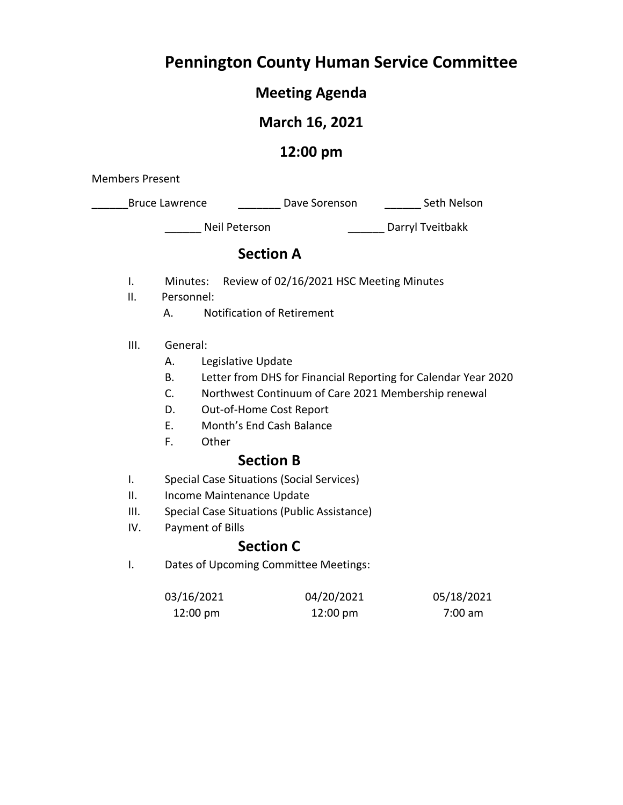# **Pennington County Human Service Committee**

# **Meeting Agenda**

# **March 16, 2021**

# **12:00 pm**

Members Present

**EXECUTE:** Bruce Lawrence **Lawrence Liet Leave Sorenson Liet Leave Seth Nelson** 

\_\_\_\_\_\_ Neil Peterson \_\_\_\_\_\_ Darryl Tveitbakk

# **Section A**

- I. Minutes: Review of 02/16/2021 HSC Meeting Minutes
- II. Personnel:
	- A. Notification of Retirement
- III. General:
	- A. Legislative Update
	- B. Letter from DHS for Financial Reporting for Calendar Year 2020
	- C. Northwest Continuum of Care 2021 Membership renewal
	- D. Out-of-Home Cost Report
	- E. Month's End Cash Balance
	- F. Other

# **Section B**

- I. Special Case Situations (Social Services)
- II. Income Maintenance Update
- III. Special Case Situations (Public Assistance)
- IV. Payment of Bills

# **Section C**

I. Dates of Upcoming Committee Meetings:

| 03/16/2021         | 04/20/2021         | 05/18/2021 |
|--------------------|--------------------|------------|
| $12:00 \text{ pm}$ | $12:00 \text{ pm}$ | 7:00 am    |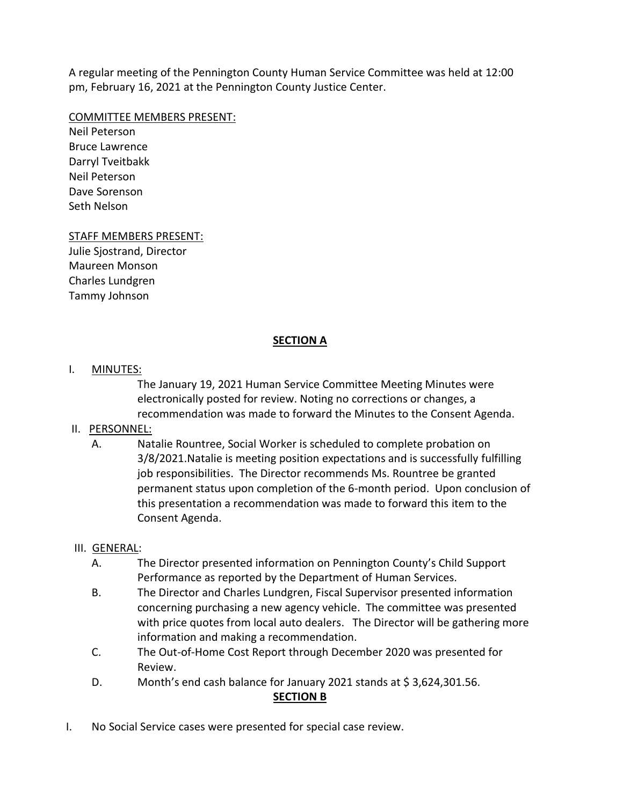A regular meeting of the Pennington County Human Service Committee was held at 12:00 pm, February 16, 2021 at the Pennington County Justice Center.

#### COMMITTEE MEMBERS PRESENT:

Neil Peterson Bruce Lawrence Darryl Tveitbakk Neil Peterson Dave Sorenson Seth Nelson

#### STAFF MEMBERS PRESENT:

Julie Sjostrand, Director Maureen Monson Charles Lundgren Tammy Johnson

#### **SECTION A**

#### I. MINUTES:

The January 19, 2021 Human Service Committee Meeting Minutes were electronically posted for review. Noting no corrections or changes, a recommendation was made to forward the Minutes to the Consent Agenda.

#### II. PERSONNEL:

A. Natalie Rountree, Social Worker is scheduled to complete probation on 3/8/2021.Natalie is meeting position expectations and is successfully fulfilling job responsibilities. The Director recommends Ms. Rountree be granted permanent status upon completion of the 6-month period. Upon conclusion of this presentation a recommendation was made to forward this item to the Consent Agenda.

#### III. GENERAL:

- A. The Director presented information on Pennington County's Child Support Performance as reported by the Department of Human Services.
- B. The Director and Charles Lundgren, Fiscal Supervisor presented information concerning purchasing a new agency vehicle. The committee was presented with price quotes from local auto dealers. The Director will be gathering more information and making a recommendation.
- C. The Out-of-Home Cost Report through December 2020 was presented for Review.
- D. Month's end cash balance for January 2021 stands at \$3,624,301.56.

#### **SECTION B**

I. No Social Service cases were presented for special case review.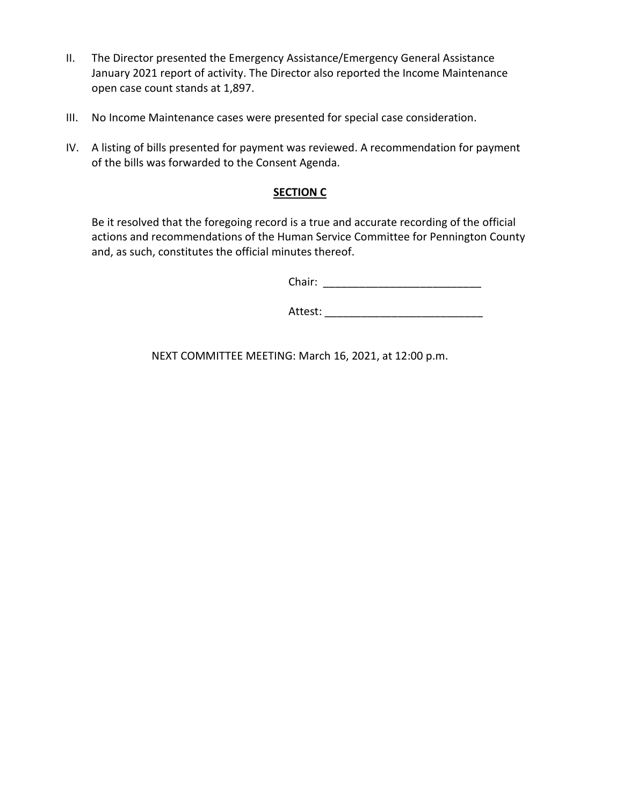- II. The Director presented the Emergency Assistance/Emergency General Assistance January 2021 report of activity. The Director also reported the Income Maintenance open case count stands at 1,897.
- III. No Income Maintenance cases were presented for special case consideration.
- IV. A listing of bills presented for payment was reviewed. A recommendation for payment of the bills was forwarded to the Consent Agenda.

#### **SECTION C**

Be it resolved that the foregoing record is a true and accurate recording of the official actions and recommendations of the Human Service Committee for Pennington County and, as such, constitutes the official minutes thereof.

Chair: \_\_\_\_\_\_\_\_\_\_\_\_\_\_\_\_\_\_\_\_\_\_\_\_\_\_

Attest: \_\_\_\_\_\_\_\_\_\_\_\_\_\_\_\_\_\_\_\_\_\_\_\_\_\_

NEXT COMMITTEE MEETING: March 16, 2021, at 12:00 p.m.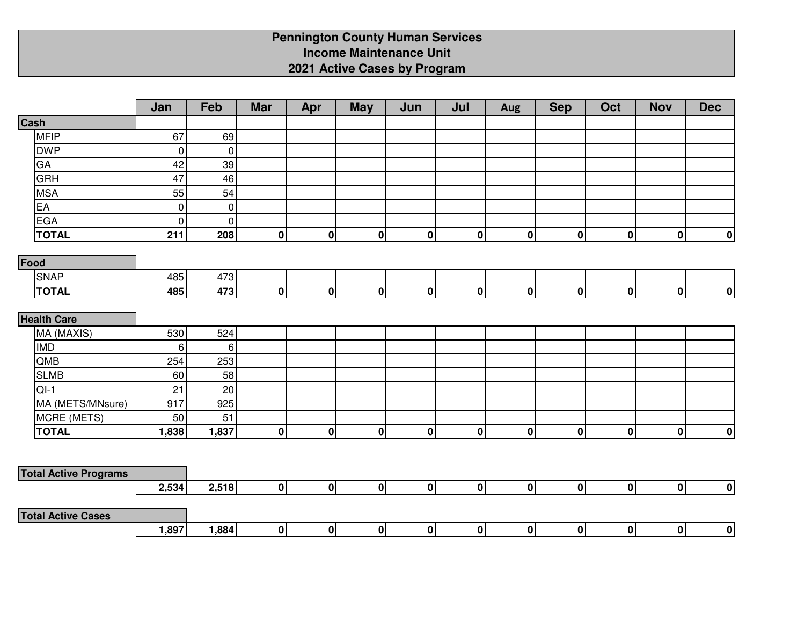# **Pennington County Human Services Income Maintenance Unit2021 Active Cases by Program**

|                              | Jan         | Feb         | <b>Mar</b>  | Apr          | <b>May</b>       | Jun          | Jul            | Aug | <b>Sep</b>  | Oct                     | <b>Nov</b>   | <b>Dec</b>       |
|------------------------------|-------------|-------------|-------------|--------------|------------------|--------------|----------------|-----|-------------|-------------------------|--------------|------------------|
| Cash                         |             |             |             |              |                  |              |                |     |             |                         |              |                  |
| <b>MFIP</b>                  | 67          | 69          |             |              |                  |              |                |     |             |                         |              |                  |
| <b>DWP</b>                   | $\mathbf 0$ | $\mathbf 0$ |             |              |                  |              |                |     |             |                         |              |                  |
| GA                           | 42          | 39          |             |              |                  |              |                |     |             |                         |              |                  |
| <b>GRH</b>                   | 47          | 46          |             |              |                  |              |                |     |             |                         |              |                  |
| <b>MSA</b>                   | 55          | 54          |             |              |                  |              |                |     |             |                         |              |                  |
| EA                           | $\mathbf 0$ | $\mathbf 0$ |             |              |                  |              |                |     |             |                         |              |                  |
| <b>EGA</b>                   | $\pmb{0}$   | $\pmb{0}$   |             |              |                  |              |                |     |             |                         |              |                  |
| <b>TOTAL</b>                 | 211         | 208         | 0           | 0            | $\boldsymbol{0}$ | $\mathbf{0}$ | $\mathbf{0}$   | 0   | $\pmb{0}$   | 0                       | $\pmb{0}$    | $\boldsymbol{0}$ |
| Food                         |             |             |             |              |                  |              |                |     |             |                         |              |                  |
| <b>SNAP</b>                  | 485         | 473         |             |              |                  |              |                |     |             |                         |              |                  |
| <b>TOTAL</b>                 | 485         | 473         | 0           | 0            | $\mathbf{0}$     | 0            | 0              | 0   | $\mathbf 0$ | 0                       | $\mathbf{0}$ | 0                |
|                              |             |             |             |              |                  |              |                |     |             |                         |              |                  |
| <b>Health Care</b>           |             |             |             |              |                  |              |                |     |             |                         |              |                  |
| MA (MAXIS)                   | 530         | 524         |             |              |                  |              |                |     |             |                         |              |                  |
| <b>IMD</b>                   | 6           | 6           |             |              |                  |              |                |     |             |                         |              |                  |
| QMB                          | 254         | 253         |             |              |                  |              |                |     |             |                         |              |                  |
| <b>SLMB</b>                  | 60          | 58          |             |              |                  |              |                |     |             |                         |              |                  |
| $QI-1$                       | 21          | 20          |             |              |                  |              |                |     |             |                         |              |                  |
| MA (METS/MNsure)             | 917         | 925         |             |              |                  |              |                |     |             |                         |              |                  |
| MCRE (METS)                  | 50          | 51          |             |              |                  |              |                |     |             |                         |              |                  |
| <b>TOTAL</b>                 | 1,838       | 1,837       | $\mathbf 0$ | $\mathbf{0}$ | $\mathbf{0}$     | $\mathbf{0}$ | $\mathbf{0}$   | 0   | $\bf{0}$    | 0                       | $\mathbf 0$  | 0                |
|                              |             |             |             |              |                  |              |                |     |             |                         |              |                  |
| <b>Total Active Programs</b> |             |             |             |              |                  |              |                |     |             |                         |              |                  |
|                              | 2,534       | 2,518       | 0           | 0            | 0                | 0            | $\overline{0}$ | 0   | 0           | $\overline{\mathbf{0}}$ | 0            | $\mathbf{0}$     |
|                              |             |             |             |              |                  |              |                |     |             |                         |              |                  |
| <b>Total Active Cases</b>    |             |             |             |              |                  |              |                |     |             |                         |              |                  |
|                              | 1,897       | 1,884       | 0           | 0            | 0                | 0            | $\mathbf{0}$   | 0   | 0           | 0                       | $\mathbf{0}$ | 0                |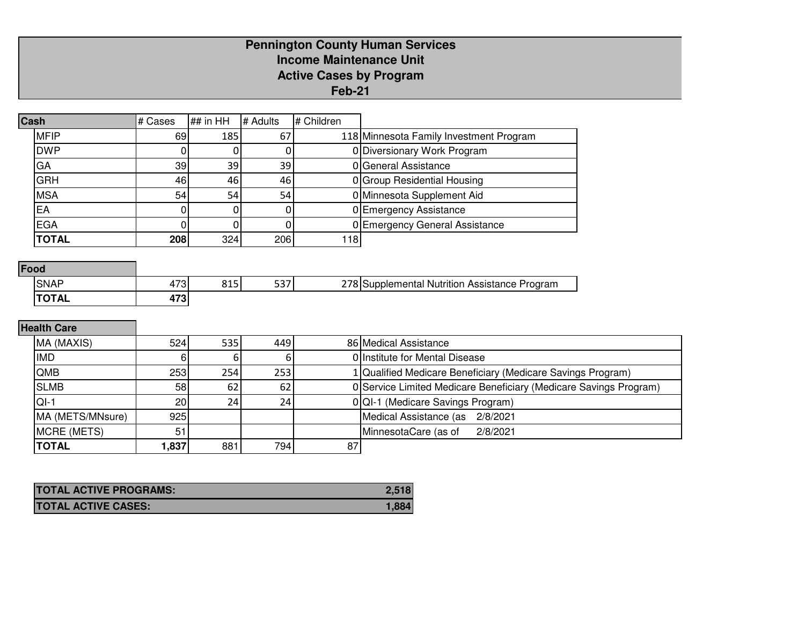### **Pennington County Human ServicesIncome Maintenance Unit Active Cases by ProgramFeb-21**

| Cash |              | # Cases | ## in $HH$ | # Adults | # Children |                                         |
|------|--------------|---------|------------|----------|------------|-----------------------------------------|
|      | <b>MFIP</b>  | 69      | 185        | 67       |            | 118 Minnesota Family Investment Program |
|      | <b>DWP</b>   |         |            |          |            | 0 Diversionary Work Program             |
|      | GA           | 39      | 39         | 39       |            | 0 General Assistance                    |
|      | <b>GRH</b>   | 46      | 46         | 46       |            | 0 Group Residential Housing             |
|      | <b>MSA</b>   | 54      | 54         | 54       |            | 0 Minnesota Supplement Aid              |
|      | EA           |         |            |          |            | 0 Emergency Assistance                  |
|      | <b>EGA</b>   |         |            |          |            | 0 Emergency General Assistance          |
|      | <b>TOTAL</b> | 208     | 324        | 206      | 118        |                                         |

# **Food**

| ____        |                                  |                                  |                     |                                                                           |
|-------------|----------------------------------|----------------------------------|---------------------|---------------------------------------------------------------------------|
| <b>SNAP</b> | $\overline{\phantom{a}}$<br>ں ہے | 0.1 <sub>F</sub><br>ر دە<br>$ -$ | $- \sim -$<br>، د د | 770<br>Program<br>Nutrition<br>Assistance<br>וחוד<br>nlementa<br><u>.</u> |
| רחדו<br>ль  | 170<br>71 J                      |                                  |                     |                                                                           |

# **Health Care**

| MA (MAXIS)       | 524             | 535 l | 449 |    | 86 Medical Assistance                                             |  |  |  |  |
|------------------|-----------------|-------|-----|----|-------------------------------------------------------------------|--|--|--|--|
| <b>IMD</b>       |                 |       |     |    | O Institute for Mental Disease                                    |  |  |  |  |
| <b>QMB</b>       | 253             | 254   | 253 |    | 1 Qualified Medicare Beneficiary (Medicare Savings Program)       |  |  |  |  |
| <b>SLMB</b>      | 58              | 62    | 62  |    | 0 Service Limited Medicare Beneficiary (Medicare Savings Program) |  |  |  |  |
| $QI-1$           | 20 <sub>l</sub> | 24    | 24  |    | 0 QI-1 (Medicare Savings Program)                                 |  |  |  |  |
| MA (METS/MNsure) | 925             |       |     |    | Medical Assistance (as 2/8/2021                                   |  |  |  |  |
| MCRE (METS)      | 51              |       |     |    | MinnesotaCare (as of<br>2/8/2021                                  |  |  |  |  |
| <b>TOTAL</b>     | .837            | 881   | 794 | 87 |                                                                   |  |  |  |  |

| <b>TOTAL ACTIVE PROGRAMS:</b> | 2.518  |
|-------------------------------|--------|
| <b>TOTAL ACTIVE CASES:</b>    | 1.884. |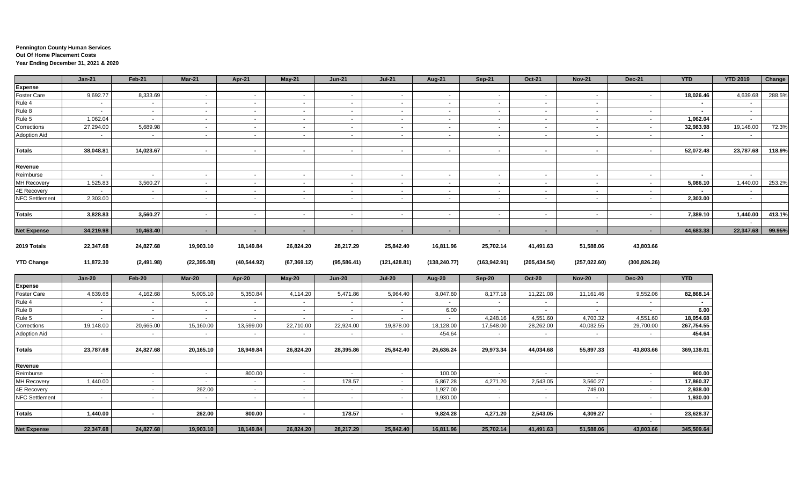#### **Pennington County Human Services Out Of Home Placement Costs Year Ending December 31, 2021 & 2020**

|                       | $Jan-21$      | Feb-21     | Mar-21         | Apr-21       | May-21       | <b>Jun-21</b>  | <b>Jul-21</b> | <b>Aug-21</b> | Sep-21        | Oct-21         | <b>Nov-21</b> | Dec-21              | <b>YTD</b>               | <b>YTD 2019</b> | Change |
|-----------------------|---------------|------------|----------------|--------------|--------------|----------------|---------------|---------------|---------------|----------------|---------------|---------------------|--------------------------|-----------------|--------|
| <b>Expense</b>        |               |            |                |              |              |                |               |               |               |                |               |                     |                          |                 |        |
| <b>Foster Care</b>    | 9,692.77      | 8,333.69   | $\sim$         | $\sim$       | $\sim$       | $\sim$         | $\sim$        | $\sim$        | $\sim$        | $\sim$         | $\sim$        | $\sim$              | 18,026.46                | 4,639.68        | 288.5% |
| Rule 4                | $\sim$        | $\sim$     | $\sim$         | $\sim$       | $\sim$       | $\sim$         | $\sim$        | $\sim$        | $\sim$        | $\sim$         | $\sim$        |                     | $\sim$                   | $\sim$          |        |
| Rule 8                | $\sim$        | $\sim$     | $\sim$         | $\sim$       | $\sim$       | $\sim$         | $\sim$        | $\sim$        | $\sim$        | $\sim$         | $\sim$        | $\sim$              | $\overline{\phantom{a}}$ | $\sim$          |        |
| Rule 5                | 1,062.04      | $\sim$     | $\sim$         | $\sim$       | $\sim$       | $\sim$         | $\sim$        | $\sim$        | $\sim$        | $\sim$         | $\sim$        | $\sim$              | 1,062.04                 | $\sim$          |        |
| Corrections           | 27,294.00     | 5,689.98   | $\sim$         | $\sim$       | $\sim$       | $\sim$         | $\sim$        | $\sim$ $-$    | $\sim$        | $\sim$         | $\sim$        | $\sim$              | 32,983.98                | 19,148.00       | 72.3%  |
| Adoption Aid          | $\sim$        | $\sim$     | $\sim$         | $\sim$       | $\sim$       | $\sim$         | $\sim$        | $\sim$        | $\sim$        | $\sim$         | $\sim$        | $\sim$              | $\blacksquare$           | $\sim$          |        |
| <b>Totals</b>         | 38,048.81     | 14,023.67  | $\sim$         | $\sim$       | $\sim$       | $\sim$         | $\sim$        | $\sim$        | $\sim$        | $\sim$         | $\sim$        | $\sim$              | 52,072.48                | 23,787.68       | 118.9% |
| Revenue               |               |            |                |              |              |                |               |               |               |                |               |                     |                          |                 |        |
| Reimburse             | $\sim$        | $\sim$     | $\sim$         | $\sim$       | $\sim$       | $\sim$         | $\sim$        | $\sim$        | $\sim$        | $\sim$         | $\sim$        | $\sim$              | $\sim$                   | $\sim$          |        |
| <b>MH Recovery</b>    | 1,525.83      | 3,560.27   | $\sim$         | $\sim$       | $\sim$       | $\sim$         | $\sim$        | $\sim$        | $\sim$        | $\sim$         | $\sim$        | $\sim$              | 5,086.10                 | 1,440.00        | 253.2% |
| 4E Recovery           | $\sim$        | $\sim$     | $\sim$         | $\sim$       | $\sim$       | $\sim$         | $\sim$        | $\sim$        | $\sim$        | $\sim$         | $\sim$        | $\sim$              |                          | $\sim$          |        |
| <b>NFC Settlement</b> | 2,303.00      | $\sim$     | $\sim$         | $\sim$       | $\sim$ $-$   | $\sim$         | $\sim$        | $\sim$        | $\sim$        | $\sim$         | $\sim$        | $\sim$              | 2,303.00                 | $\sim$          |        |
| <b>Totals</b>         | 3,828.83      | 3,560.27   | $\sim$         | $\sim$       | $\sim$       | $\mathbf{r}$   | $\sim$        | $\sim$        | $\sim$        | $\sim$         | $\sim$        | $\sim$              | 7,389.10                 | 1,440.00        | 413.1% |
|                       |               |            |                |              |              |                |               |               |               |                |               |                     |                          | $\sim$          |        |
| <b>Net Expense</b>    | 34,219.98     | 10,463.40  | $\sim$         | $\sim$       | $\sim$       | $\blacksquare$ | $\sim$        | $\sim$        | $\sim$        | $\blacksquare$ | $\sim$        | $\sim$              | 44,683.38                | 22,347.68       | 99.95% |
| 2019 Totals           | 22,347.68     | 24,827.68  | 19,903.10      | 18,149.84    | 26,824.20    | 28,217.29      | 25,842.40     | 16,811.96     | 25,702.14     | 41,491.63      | 51,588.06     | 43,803.66           |                          |                 |        |
| <b>YTD Change</b>     | 11,872.30     | (2,491.98) | (22, 395.08)   | (40, 544.92) | (67, 369.12) | (95, 586.41)   | (121, 428.81) | (138, 240.77) | (163, 942.91) | (205, 434.54)  | (257, 022.60) | (300, 826.26)       |                          |                 |        |
|                       | <b>Jan-20</b> | Feb-20     | <b>Mar-20</b>  | Apr-20       | $May-20$     | <b>Jun-20</b>  | <b>Jul-20</b> | Aug-20        | Sep-20        | <b>Oct-20</b>  | <b>Nov-20</b> | <b>Dec-20</b>       | <b>YTD</b>               |                 |        |
| <b>Expense</b>        |               |            |                |              |              |                |               |               |               |                |               |                     |                          |                 |        |
| Foster Care           | 4,639.68      | 4,162.68   | 5,005.10       | 5,350.84     | 4,114.20     | 5,471.86       | 5,964.40      | 8,047.60      | 8,177.18      | 11,221.08      | 11,161.46     | 9,552.06            | 82,868.14                |                 |        |
| Rule 4                | $\sim$        | $\sim$     | $\sim$         | $\sim$       | $\sim$       | $\sim$         | $\sim$        | $\sim$        | $\sim$        | $\sim$         | $\sim$        | $\sim$              | $\sim$                   |                 |        |
| Rule 8                | $\sim$        | $\sim$     | $\sim$         | $\sim$       | $\sim$       | $\sim$         | $\sim$        | 6.00          | $\sim$        | $\sim$         | $\sim$        | $\sim$              | 6.00                     |                 |        |
| Rule 5                | $\sim$        | $\sim$     | $\blacksquare$ | $\sim$       | $\sim$       |                | $\sim$        | $\sim$        | 4,248.16      | 4,551.60       | 4,703.32      | 4,551.60            | 18,054.68                |                 |        |
| Corrections           | 19,148.00     | 20,665.00  | 15,160.00      | 13,599.00    | 22,710.00    | 22,924.00      | 19,878.00     | 18,128.00     | 17,548.00     | 28,262.00      | 40,032.55     | 29,700.00           | 267,754.55               |                 |        |
| <b>Adoption Aid</b>   | $\sim$        | $\sim$     | $\sim$         | $\sim$       | $\sim$       | $\sim$         | $\sim$        | 454.64        | $\sim$        | $\sim$         | $\sim$        | $\sim$              | 454.64                   |                 |        |
| <b>Totals</b>         | 23,787.68     | 24,827.68  | 20,165.10      | 18,949.84    | 26,824.20    | 28,395.86      | 25,842.40     | 26,636.24     | 29,973.34     | 44,034.68      | 55,897.33     | 43,803.66           | 369,138.01               |                 |        |
|                       |               |            |                |              |              |                |               |               |               |                |               |                     |                          |                 |        |
| Revenue               |               |            |                |              |              |                |               |               |               |                |               |                     |                          |                 |        |
| Reimburse             | $\sim$        | $\sim$     | $\sim$         | 800.00       | $\sim$       | $\sim$         | $\sim$        | 100.00        | $\sim$        | $\sim$         | $\sim$        | $\sim$              | 900.00                   |                 |        |
| <b>MH Recovery</b>    | 1,440.00      | $\sim$     | $\sim$         | $\sim$       | $\sim$       | 178.57         | $\sim$        | 5,867.28      | 4,271.20      | 2,543.05       | 3,560.27      | $\sim$              | 17,860.37                |                 |        |
| 4E Recovery           | $\sim$        | $\sim$     | 262.00         | $\sim$       | $\sim$       | $\sim$         | $\sim$        | 1,927.00      | $\sim$        | $\sim$         | 749.00        | $\sim$              | 2,938.00                 |                 |        |
| <b>NFC Settlement</b> | $\sim$        | $\sim$     | $\sim$         | $\sim$       | $\sim$       | $\sim$         | $\sim$        | 1,930.00      | $\sim$        | $\sim$         | $\sim$        | $\sim$              | 1,930.00                 |                 |        |
| <b>Totals</b>         | 1,440.00      | $\sim$     | 262.00         | 800.00       | $\sim$       | 178.57         | $\sim$        | 9,824.28      | 4,271.20      | 2,543.05       | 4,309.27      | $\sim$              | 23,628.37                |                 |        |
| <b>Net Expense</b>    | 22,347.68     | 24,827.68  | 19,903.10      | 18,149.84    | 26,824.20    | 28,217.29      | 25,842.40     | 16,811.96     | 25,702.14     | 41,491.63      | 51,588.06     | $\sim$<br>43,803.66 | 345,509.64               |                 |        |
|                       |               |            |                |              |              |                |               |               |               |                |               |                     |                          |                 |        |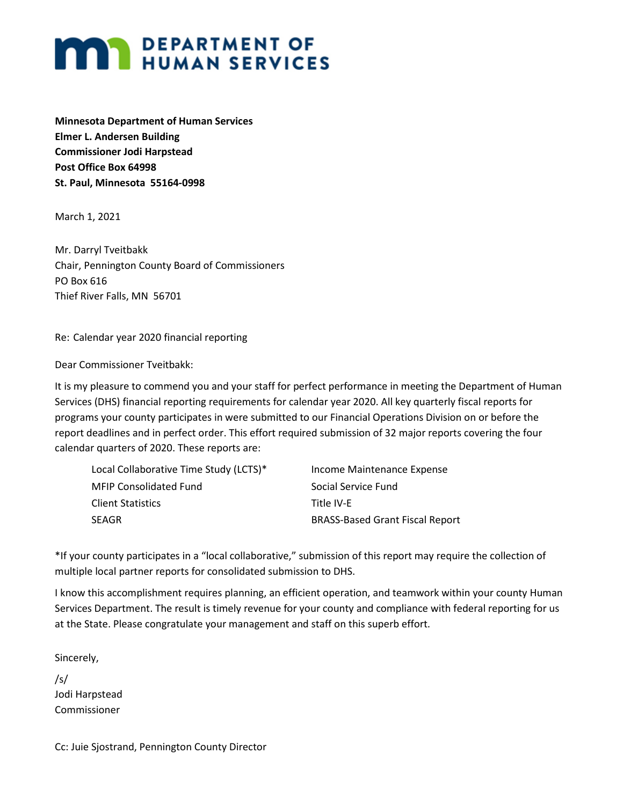# **MAY DEPARTMENT OF HUMAN SERVICES**

**Minnesota Department of Human Services Elmer L. Andersen Building Commissioner Jodi Harpstead Post Office Box 64998 St. Paul, Minnesota 55164-0998**

March 1, 2021

Mr. Darryl Tveitbakk Chair, Pennington County Board of Commissioners PO Box 616 Thief River Falls, MN 56701

Re: Calendar year 2020 financial reporting

Dear Commissioner Tveitbakk:

It is my pleasure to commend you and your staff for perfect performance in meeting the Department of Human Services (DHS) financial reporting requirements for calendar year 2020. All key quarterly fiscal reports for programs your county participates in were submitted to our Financial Operations Division on or before the report deadlines and in perfect order. This effort required submission of 32 major reports covering the four calendar quarters of 2020. These reports are:

| Local Collaborative Time Study (LCTS)* | Income Maintenance Expense             |
|----------------------------------------|----------------------------------------|
| MFIP Consolidated Fund                 | Social Service Fund                    |
| Client Statistics                      | Title IV-E                             |
| SEAGR                                  | <b>BRASS-Based Grant Fiscal Report</b> |
|                                        |                                        |

\*If your county participates in a "local collaborative," submission of this report may require the collection of multiple local partner reports for consolidated submission to DHS.

I know this accomplishment requires planning, an efficient operation, and teamwork within your county Human Services Department. The result is timely revenue for your county and compliance with federal reporting for us at the State. Please congratulate your management and staff on this superb effort.

Sincerely,

/s/ Jodi Harpstead Commissioner

Cc: Juie Sjostrand, Pennington County Director